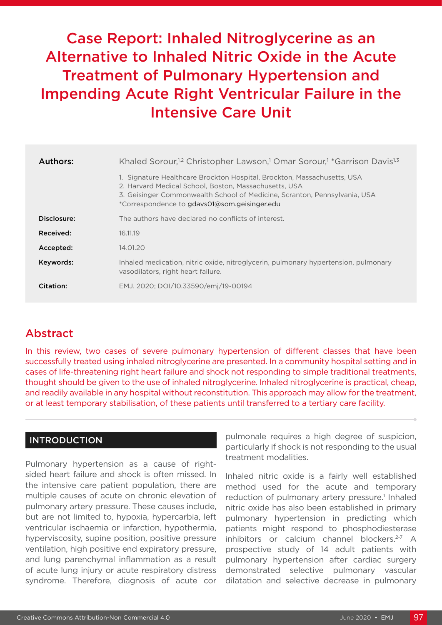# Case Report: Inhaled Nitroglycerine as an Alternative to Inhaled Nitric Oxide in the Acute Treatment of Pulmonary Hypertension and Impending Acute Right Ventricular Failure in the Intensive Care Unit

| Authors:    | Khaled Sorour, <sup>1,2</sup> Christopher Lawson, <sup>1</sup> Omar Sorour, <sup>1</sup> *Garrison Davis <sup>1,3</sup>                                                                                                                                       |  |  |  |  |  |  |  |  |  |
|-------------|---------------------------------------------------------------------------------------------------------------------------------------------------------------------------------------------------------------------------------------------------------------|--|--|--|--|--|--|--|--|--|
|             | 1. Signature Healthcare Brockton Hospital, Brockton, Massachusetts, USA<br>2. Harvard Medical School, Boston, Massachusetts, USA<br>3. Geisinger Commonwealth School of Medicine, Scranton, Pennsylvania, USA<br>*Correspondence to gdavs01@som.geisinger.edu |  |  |  |  |  |  |  |  |  |
| Disclosure: | The authors have declared no conflicts of interest.                                                                                                                                                                                                           |  |  |  |  |  |  |  |  |  |
| Received:   | 16.11.19                                                                                                                                                                                                                                                      |  |  |  |  |  |  |  |  |  |
| Accepted:   | 14.01.20                                                                                                                                                                                                                                                      |  |  |  |  |  |  |  |  |  |
| Keywords:   | Inhaled medication, nitric oxide, nitroglycerin, pulmonary hypertension, pulmonary<br>vasodilators, right heart failure.                                                                                                                                      |  |  |  |  |  |  |  |  |  |
| Citation:   | EMJ. 2020; DOI/10.33590/emj/19-00194                                                                                                                                                                                                                          |  |  |  |  |  |  |  |  |  |

## Abstract

In this review, two cases of severe pulmonary hypertension of different classes that have been successfully treated using inhaled nitroglycerine are presented. In a community hospital setting and in cases of life-threatening right heart failure and shock not responding to simple traditional treatments, thought should be given to the use of inhaled nitroglycerine. Inhaled nitroglycerine is practical, cheap, and readily available in any hospital without reconstitution. This approach may allow for the treatment, or at least temporary stabilisation, of these patients until transferred to a tertiary care facility.

### **INTRODUCTION**

Pulmonary hypertension as a cause of rightsided heart failure and shock is often missed. In the intensive care patient population, there are multiple causes of acute on chronic elevation of pulmonary artery pressure. These causes include, but are not limited to, hypoxia, hypercarbia, left ventricular ischaemia or infarction, hypothermia, hyperviscosity, supine position, positive pressure ventilation, high positive end expiratory pressure, and lung parenchymal inflammation as a result of acute lung injury or acute respiratory distress syndrome. Therefore, diagnosis of acute cor

pulmonale requires a high degree of suspicion, particularly if shock is not responding to the usual treatment modalities.

Inhaled nitric oxide is a fairly well established method used for the acute and temporary reduction of pulmonary artery pressure.<sup>1</sup> Inhaled nitric oxide has also been established in primary pulmonary hypertension in predicting which patients might respond to phosphodiesterase inhibitors or calcium channel blockers.<sup>2-7</sup> A prospective study of 14 adult patients with pulmonary hypertension after cardiac surgery demonstrated selective pulmonary vascular dilatation and selective decrease in pulmonary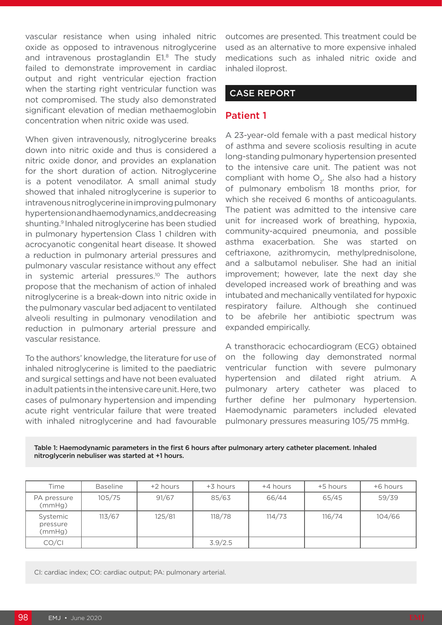vascular resistance when using inhaled nitric oxide as opposed to intravenous nitroglycerine and intravenous prostaglandin  $E1<sup>8</sup>$  The study failed to demonstrate improvement in cardiac output and right ventricular ejection fraction when the starting right ventricular function was not compromised. The study also demonstrated significant elevation of median methaemoglobin concentration when nitric oxide was used.

When given intravenously, nitroglycerine breaks down into nitric oxide and thus is considered a nitric oxide donor, and provides an explanation for the short duration of action. Nitroglycerine is a potent venodilator. A small animal study showed that inhaled nitroglycerine is superior to intravenous nitroglycerine in improving pulmonary hypertension and haemodynamics, and decreasing shunting.9 Inhaled nitroglycerine has been studied in pulmonary hypertension Class 1 children with acrocyanotic congenital heart disease. It showed a reduction in pulmonary arterial pressures and pulmonary vascular resistance without any effect in systemic arterial pressures.10 The authors propose that the mechanism of action of inhaled nitroglycerine is a break-down into nitric oxide in the pulmonary vascular bed adjacent to ventilated alveoli resulting in pulmonary venodilation and reduction in pulmonary arterial pressure and vascular resistance.

To the authors' knowledge, the literature for use of inhaled nitroglycerine is limited to the paediatric and surgical settings and have not been evaluated in adult patients in the intensive care unit. Here, two cases of pulmonary hypertension and impending acute right ventricular failure that were treated with inhaled nitroglycerine and had favourable

outcomes are presented. This treatment could be used as an alternative to more expensive inhaled medications such as inhaled nitric oxide and inhaled iloprost.

### CASE REPORT

### Patient 1

A 23-year-old female with a past medical history of asthma and severe scoliosis resulting in acute long-standing pulmonary hypertension presented to the intensive care unit. The patient was not compliant with home  $O<sub>2</sub>$ . She also had a history of pulmonary embolism 18 months prior, for which she received 6 months of anticoagulants. The patient was admitted to the intensive care unit for increased work of breathing, hypoxia, community-acquired pneumonia, and possible asthma exacerbation. She was started on ceftriaxone, azithromycin, methylprednisolone, and a salbutamol nebuliser. She had an initial improvement; however, late the next day she developed increased work of breathing and was intubated and mechanically ventilated for hypoxic respiratory failure. Although she continued to be afebrile her antibiotic spectrum was expanded empirically.

A transthoracic echocardiogram (ECG) obtained on the following day demonstrated normal ventricular function with severe pulmonary hypertension and dilated right atrium. A pulmonary artery catheter was placed to further define her pulmonary hypertension. Haemodynamic parameters included elevated pulmonary pressures measuring 105/75 mmHg.

Table 1: Haemodynamic parameters in the first 6 hours after pulmonary artery catheter placement. Inhaled nitroglycerin nebuliser was started at +1 hours.

| Time                           | <b>Baseline</b> | +2 hours | +3 hours | +4 hours | +5 hours | +6 hours |  |  |
|--------------------------------|-----------------|----------|----------|----------|----------|----------|--|--|
| PA pressure<br>(mmHg)          | 105/75          | 91/67    | 85/63    | 66/44    | 65/45    | 59/39    |  |  |
| Systemic<br>pressure<br>(mmHg) | 113/67          | 125/81   | 118/78   | 114/73   | 116/74   | 104/66   |  |  |
| CO/CI                          |                 |          | 3.9/2.5  |          |          |          |  |  |

CI: cardiac index; CO: cardiac output; PA: pulmonary arterial.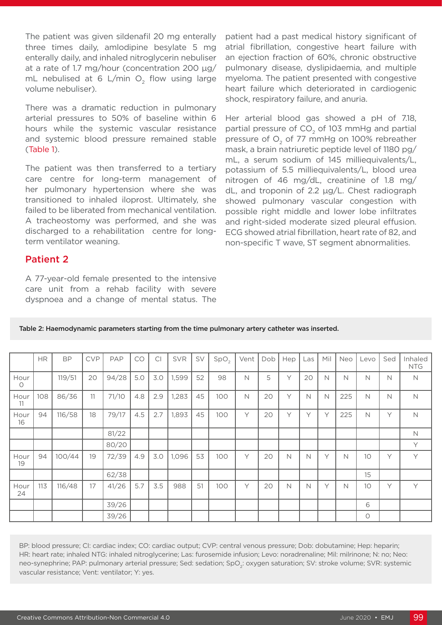The patient was given sildenafil 20 mg enterally three times daily, amlodipine besylate 5 mg enterally daily, and inhaled nitroglycerin nebuliser at a rate of 1.7 mg/hour (concentration 200 µg/ mL nebulised at 6 L/min  $O<sub>2</sub>$  flow using large volume nebuliser).

There was a dramatic reduction in pulmonary arterial pressures to 50% of baseline within 6 hours while the systemic vascular resistance and systemic blood pressure remained stable (Table 1).

The patient was then transferred to a tertiary care centre for long-term management of her pulmonary hypertension where she was transitioned to inhaled iloprost. Ultimately, she failed to be liberated from mechanical ventilation. A tracheostomy was performed, and she was discharged to a rehabilitation centre for longterm ventilator weaning.

#### Patient 2

A 77-year-old female presented to the intensive care unit from a rehab facility with severe dyspnoea and a change of mental status. The patient had a past medical history significant of atrial fibrillation, congestive heart failure with an ejection fraction of 60%, chronic obstructive pulmonary disease, dyslipidaemia, and multiple myeloma. The patient presented with congestive heart failure which deteriorated in cardiogenic shock, respiratory failure, and anuria.

Her arterial blood gas showed a pH of 7.18, partial pressure of  $CO<sub>2</sub>$  of 103 mmHg and partial pressure of  $O<sub>2</sub>$  of 77 mmHg on 100% rebreather mask, a brain natriuretic peptide level of 1180 pg/ mL, a serum sodium of 145 milliequivalents/L, potassium of 5.5 milliequivalents/L, blood urea nitrogen of 46 mg/dL, creatinine of 1.8 mg/ dL, and troponin of 2.2 µg/L. Chest radiograph showed pulmonary vascular congestion with possible right middle and lower lobe infiltrates and right-sided moderate sized pleural effusion. ECG showed atrial fibrillation, heart rate of 82, and non-specific T wave, ST segment abnormalities.

|                 | $\rm{HR}$ | <b>BP</b> | <b>CVP</b> | PAP   | CO  | C <sub>1</sub> | <b>SVR</b> | SV | SpO <sub>2</sub> | Vent | Dob | Hep | Las    | Mil | Neo         | Levo    | Sed | Inhaled<br><b>NTG</b> |
|-----------------|-----------|-----------|------------|-------|-----|----------------|------------|----|------------------|------|-----|-----|--------|-----|-------------|---------|-----|-----------------------|
| Hour<br>$\circ$ |           | 119/51    | 20         | 94/28 | 5.0 | 3.0            | 1,599      | 52 | 98               | N    | 5   | Υ   | 20     | N   | N           | N       | N   | N                     |
| Hour<br>11      | 108       | 86/36     | 11         | 71/10 | 4.8 | 2.9            | 1,283      | 45 | 100              | N    | 20  | Υ   | N      | N   | 225         | N       | N   | $\mathbb N$           |
| Hour<br>16      | 94        | 116/58    | 18         | 79/17 | 4.5 | 2.7            | 1,893      | 45 | 100              | Υ    | 20  | Υ   | $\vee$ | Y   | 225         | N       | Y   | $\mathbb N$           |
|                 |           |           |            | 81/22 |     |                |            |    |                  |      |     |     |        |     |             |         |     | $\mathbb N$           |
|                 |           |           |            | 80/20 |     |                |            |    |                  |      |     |     |        |     |             |         |     | Y                     |
| Hour<br>19      | 94        | 100/44    | 19         | 72/39 | 4.9 | 3.0            | 1,096      | 53 | 100              | Υ    | 20  | N   | N      | Υ   | $\mathbb N$ | 10      | Y   | Y                     |
|                 |           |           |            | 62/38 |     |                |            |    |                  |      |     |     |        |     |             | 15      |     |                       |
| Hour<br>24      | 113       | 116/48    | 17         | 41/26 | 5.7 | 3.5            | 988        | 51 | 100              | Υ    | 20  | N   | Ν      | Υ   | N           | 10      | Υ   | Y                     |
|                 |           |           |            | 39/26 |     |                |            |    |                  |      |     |     |        |     |             | 6       |     |                       |
|                 |           |           |            | 39/26 |     |                |            |    |                  |      |     |     |        |     |             | $\circ$ |     |                       |

Table 2: Haemodynamic parameters starting from the time pulmonary artery catheter was inserted.

BP: blood pressure; CI: cardiac index; CO: cardiac output; CVP: central venous pressure; Dob: dobutamine; Hep: heparin; HR: heart rate; inhaled NTG: inhaled nitroglycerine; Las: furosemide infusion; Levo: noradrenaline; Mil: milrinone; N: no; Neo: neo-synephrine; PAP: pulmonary arterial pressure; Sed: sedation; SpO<sub>2</sub>: oxygen saturation; SV: stroke volume; SVR: systemic vascular resistance; Vent: ventilator; Y: yes.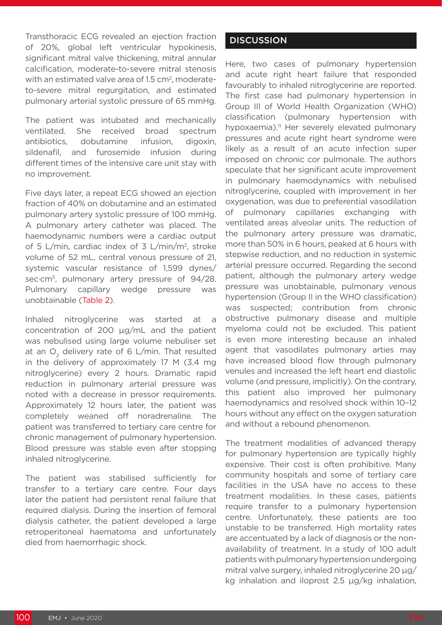Transthoracic ECG revealed an ejection fraction of 20%, global left ventricular hypokinesis, significant mitral valve thickening, mitral annular calcification, moderate-to-severe mitral stenosis with an estimated valve area of 1.5 cm<sup>2</sup>, moderateto-severe mitral regurgitation, and estimated pulmonary arterial systolic pressure of 65 mmHg.

The patient was intubated and mechanically ventilated. She received broad spectrum antibiotics, dobutamine infusion, digoxin, sildenafil, and furosemide infusion during different times of the intensive care unit stay with no improvement.

Five days later, a repeat ECG showed an ejection fraction of 40% on dobutamine and an estimated pulmonary artery systolic pressure of 100 mmHg. A pulmonary artery catheter was placed. The haemodynamic numbers were a cardiac output of 5 L/min, cardiac index of 3 L/min/m2, stroke volume of 52 mL, central venous pressure of 21, systemic vascular resistance of 1,599 dynes/ sec·cm<sup>5</sup>, pulmonary artery pressure of 94/28. Pulmonary capillary wedge pressure was unobtainable (Table 2).

Inhaled nitroglycerine was started at a concentration of 200 µg/mL and the patient was nebulised using large volume nebuliser set at an  $O<sub>2</sub>$  delivery rate of 6 L/min. That resulted in the delivery of approximately 17 M (3.4 mg nitroglycerine) every 2 hours. Dramatic rapid reduction in pulmonary arterial pressure was noted with a decrease in pressor requirements. Approximately 12 hours later, the patient was completely weaned off noradrenaline. The patient was transferred to tertiary care centre for chronic management of pulmonary hypertension. Blood pressure was stable even after stopping inhaled nitroglycerine.

The patient was stabilised sufficiently for transfer to a tertiary care centre. Four days later the patient had persistent renal failure that required dialysis. During the insertion of femoral dialysis catheter, the patient developed a large retroperitoneal haematoma and unfortunately died from haemorrhagic shock.

### **DISCUSSION**

Here, two cases of pulmonary hypertension and acute right heart failure that responded favourably to inhaled nitroglycerine are reported. The first case had pulmonary hypertension in Group III of World Health Organization (WHO) classification (pulmonary hypertension with hypoxaemia).<sup>11</sup> Her severely elevated pulmonary pressures and acute right heart syndrome were likely as a result of an acute infection super imposed on chronic cor pulmonale. The authors speculate that her significant acute improvement in pulmonary haemodynamics with nebulised nitroglycerine, coupled with improvement in her oxygenation, was due to preferential vasodilation of pulmonary capillaries exchanging with ventilated areas alveolar units. The reduction of the pulmonary artery pressure was dramatic, more than 50% in 6 hours, peaked at 6 hours with stepwise reduction, and no reduction in systemic arterial pressure occurred. Regarding the second patient, although the pulmonary artery wedge pressure was unobtainable, pulmonary venous hypertension (Group II in the WHO classification) was suspected; contribution from chronic obstructive pulmonary disease and multiple myeloma could not be excluded. This patient is even more interesting because an inhaled agent that vasodilates pulmonary arties may have increased blood flow through pulmonary venules and increased the left heart end diastolic volume (and pressure, implicitly). On the contrary, this patient also improved her pulmonary haemodynamics and resolved shock within 10–12 hours without any effect on the oxygen saturation and without a rebound phenomenon.

The treatment modalities of advanced therapy for pulmonary hypertension are typically highly expensive. Their cost is often prohibitive. Many community hospitals and some of tertiary care facilities in the USA have no access to these treatment modalities. In these cases, patients require transfer to a pulmonary hypertension centre. Unfortunately, these patients are too unstable to be transferred. High mortality rates are accentuated by a lack of diagnosis or the nonavailability of treatment. In a study of 100 adult patients with pulmonary hypertension undergoing mitral valve surgery, inhaled nitroglycerine 20 µg/ kg inhalation and iloprost 2.5 µg/kg inhalation,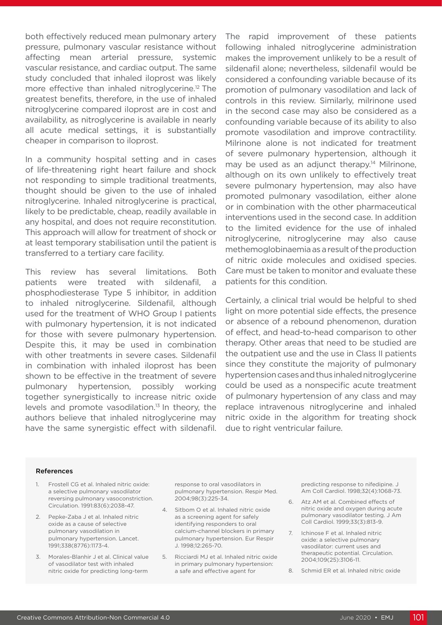both effectively reduced mean pulmonary artery pressure, pulmonary vascular resistance without affecting mean arterial pressure, systemic vascular resistance, and cardiac output. The same study concluded that inhaled iloprost was likely more effective than inhaled nitroglycerine.<sup>12</sup> The greatest benefits, therefore, in the use of inhaled nitroglycerine compared iloprost are in cost and availability, as nitroglycerine is available in nearly all acute medical settings, it is substantially cheaper in comparison to iloprost.

In a community hospital setting and in cases of life-threatening right heart failure and shock not responding to simple traditional treatments, thought should be given to the use of inhaled nitroglycerine. Inhaled nitroglycerine is practical, likely to be predictable, cheap, readily available in any hospital, and does not require reconstitution. This approach will allow for treatment of shock or at least temporary stabilisation until the patient is transferred to a tertiary care facility.

This review has several limitations. Both patients were treated with sildenafil, a phosphodiesterase Type 5 inhibitor, in addition to inhaled nitroglycerine. Sildenafil, although used for the treatment of WHO Group I patients with pulmonary hypertension, it is not indicated for those with severe pulmonary hypertension. Despite this, it may be used in combination with other treatments in severe cases. Sildenafil in combination with inhaled iloprost has been shown to be effective in the treatment of severe pulmonary hypertension, possibly working together synergistically to increase nitric oxide levels and promote vasodilation.13 In theory, the authors believe that inhaled nitroglycerine may have the same synergistic effect with sildenafil.

The rapid improvement of these patients following inhaled nitroglycerine administration makes the improvement unlikely to be a result of sildenafil alone; nevertheless, sildenafil would be considered a confounding variable because of its promotion of pulmonary vasodilation and lack of controls in this review. Similarly, milrinone used in the second case may also be considered as a confounding variable because of its ability to also promote vasodilation and improve contractility. Milrinone alone is not indicated for treatment of severe pulmonary hypertension, although it may be used as an adjunct therapy.<sup>14</sup> Milrinone, although on its own unlikely to effectively treat severe pulmonary hypertension, may also have promoted pulmonary vasodilation, either alone or in combination with the other pharmaceutical interventions used in the second case. In addition to the limited evidence for the use of inhaled nitroglycerine, nitroglycerine may also cause methemoglobinaemia as a result of the production of nitric oxide molecules and oxidised species. Care must be taken to monitor and evaluate these patients for this condition.

Certainly, a clinical trial would be helpful to shed light on more potential side effects, the presence or absence of a rebound phenomenon, duration of effect, and head-to-head comparison to other therapy. Other areas that need to be studied are the outpatient use and the use in Class II patients since they constitute the majority of pulmonary hypertension cases and thus inhaled nitroglycerine could be used as a nonspecific acute treatment of pulmonary hypertension of any class and may replace intravenous nitroglycerine and inhaled nitric oxide in the algorithm for treating shock due to right ventricular failure.

#### References

- 1. Frostell CG et al. Inhaled nitric oxide: a selective pulmonary vasodilator reversing pulmonary vasoconstriction. Circulation. 1991:83(6):2038-47.
- 2. Pepke-Zaba J et al. Inhaled nitric oxide as a cause of selective pulmonary vasodilation in pulmonary hypertension. Lancet. 1991;338(8776):1173-4.
- 3. Morales-Blanhir J et al. Clinical value of vasodilator test with inhaled nitric oxide for predicting long-term

response to oral vasodilators in pulmonary hypertension. Respir Med. 2004;98(3):225-34.

- 4. Sitbom O et al. Inhaled nitric oxide as a screening agent for safely identifying responders to oral calcium-channel blockers in primary pulmonary hypertension. Eur Respir J. 1998;12:265-70.
- 5. Ricciardi MJ et al. Inhaled nitric oxide in primary pulmonary hypertension: a safe and effective agent for

predicting response to nifedipine. J Am Coll Cardiol. 1998;32(4):1068-73.

- 6. Atz AM et al. Combined effects of nitric oxide and oxygen during acute pulmonary vasodilator testing. J Am Coll Cardiol. 1999;33(3):813-9.
- 7. Ichinose F et al. Inhaled nitric oxide: a selective pulmonary vasodilator: current uses and therapeutic potential. Circulation. 2004;109(25):3106-11.
- 8. Schmid ER et al. Inhaled nitric oxide